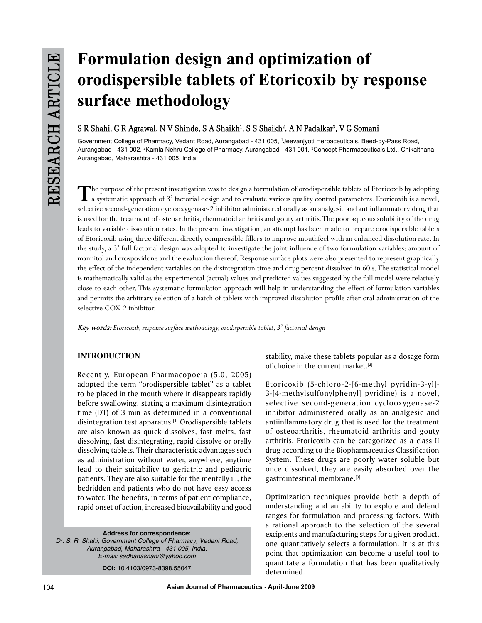# **Formulation design and optimization of orodispersible tablets of Etoricoxib by response surface methodology**

## $S$  R Shahi, G R Agrawal, N V Shinde, S A Shaikh<sup>1</sup>, S S Shaikh<sup>2</sup>, A N Padalkar<sup>3</sup>, V G Somani

Government College of Pharmacy, Vedant Road, Aurangabad - 431 005, 1 Jeevanjyoti Herbaceuticals, Beed-by-Pass Road, Aurangabad - 431 002, <sup>2</sup>Kamla Nehru College of Pharmacy, Aurangabad - 431 001, <sup>3</sup>Concept Pharmaceuticals Ltd., Chikalthana, Aurangabad, Maharashtra - 431 005, India

The purpose of the present investigation was to design a formulation of orodispersible tablets of Etoricoxib by adopting<br>a systematic approach of 3<sup>2</sup> factorial design and to evaluate various quality control parameters. Et selective second-generation cyclooxygenase-2 inhibitor administered orally as an analgesic and antiinflammatory drug that is used for the treatment of osteoarthritis, rheumatoid arthritis and gouty arthritis. The poor aqueous solubility of the drug leads to variable dissolution rates. In the present investigation, an attempt has been made to prepare orodispersible tablets of Etoricoxib using three different directly compressible fillers to improve mouthfeel with an enhanced dissolution rate. In the study, a 3<sup>2</sup> full factorial design was adopted to investigate the joint influence of two formulation variables: amount of mannitol and crospovidone and the evaluation thereof. Response surface plots were also presented to represent graphically the effect of the independent variables on the disintegration time and drug percent dissolved in 60 s. The statistical model is mathematically valid as the experimental (actual) values and predicted values suggested by the full model were relatively close to each other. This systematic formulation approach will help in understanding the effect of formulation variables and permits the arbitrary selection of a batch of tablets with improved dissolution profile after oral administration of the selective COX-2 inhibitor.

*Key words: Etoricoxib, response surface methodology, orodispersible tablet, 3<sup>2</sup> factorial design*

## **INTRODUCTION**

Recently, European Pharmacopoeia (5.0, 2005) adopted the term "orodispersible tablet" as a tablet to be placed in the mouth where it disappears rapidly before swallowing, stating a maximum disintegration time (DT) of 3 min as determined in a conventional disintegration test apparatus.<sup>[1]</sup> Orodispersible tablets are also known as quick dissolves, fast melts, fast dissolving, fast disintegrating, rapid dissolve or orally dissolving tablets. Their characteristic advantages such as administration without water, anywhere, anytime lead to their suitability to geriatric and pediatric patients. They are also suitable for the mentally ill, the bedridden and patients who do not have easy access to water. The benefits, in terms of patient compliance, rapid onset of action, increased bioavailability and good

**Address for correspondence:**  *Dr. S. R. Shahi, Government College of Pharmacy, Vedant Road, Aurangabad, Maharashtra - 431 005, India. E-mail: sadhanashahi@yahoo.com*

**DOI:** 10.4103/0973-8398.55047

stability, make these tablets popular as a dosage form of choice in the current market.<sup>[2]</sup>

Etoricoxib (5-chloro-2-[6-methyl pyridin-3-yl]- 3-[4-methylsulfonylphenyl] pyridine) is a novel, selective second-generation cyclooxygenase-2 inhibitor administered orally as an analgesic and antiinflammatory drug that is used for the treatment of osteoarthritis, rheumatoid arthritis and gouty arthritis. Etoricoxib can be categorized as a class II drug according to the Biopharmaceutics Classification System. These drugs are poorly water soluble but once dissolved, they are easily absorbed over the gastrointestinal membrane.[3]

Optimization techniques provide both a depth of understanding and an ability to explore and defend ranges for formulation and processing factors. With a rational approach to the selection of the several excipients and manufacturing steps for a given product, one quantitatively selects a formulation. It is at this point that optimization can become a useful tool to quantitate a formulation that has been qualitatively determined.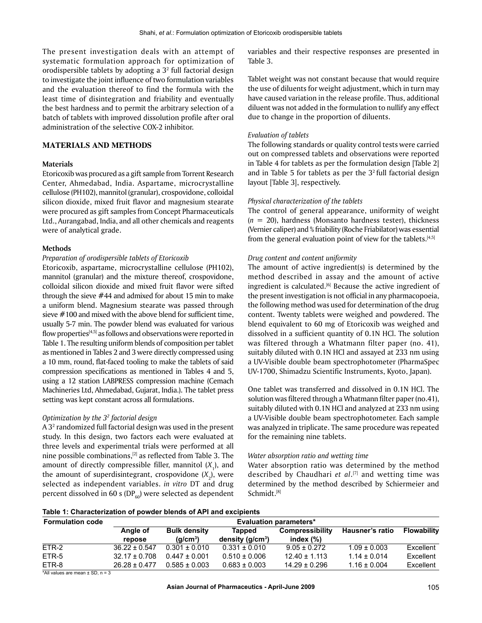The present investigation deals with an attempt of systematic formulation approach for optimization of orodispersible tablets by adopting a  $3<sup>2</sup>$  full factorial design to investigate the joint influence of two formulation variables and the evaluation thereof to find the formula with the least time of disintegration and friability and eventually the best hardness and to permit the arbitrary selection of a batch of tablets with improved dissolution profile after oral administration of the selective COX-2 inhibitor.

## **MATERIALS AND METHODS**

## **Materials**

Etoricoxib was procured as a gift sample from Torrent Research Center, Ahmedabad, India. Aspartame, microcrystalline cellulose (PH102), mannitol (granular), crospovidone, colloidal silicon dioxide, mixed fruit flavor and magnesium stearate were procured as gift samples from Concept Pharmaceuticals Ltd., Aurangabad, India, and all other chemicals and reagents were of analytical grade.

#### **Methods**

## *Preparation of orodispersible tablets of Etoricoxib*

Etoricoxib, aspartame, microcrystalline cellulose (PH102), mannitol (granular) and the mixture thereof, crospovidone, colloidal silicon dioxide and mixed fruit flavor were sifted through the sieve #44 and admixed for about 15 min to make a uniform blend. Magnesium stearate was passed through sieve #100 and mixed with the above blend for sufficient time, usually 5-7 min. The powder blend was evaluated for various flow properties<sup>[4,5]</sup> as follows and observations were reported in Table 1. The resulting uniform blends of composition per tablet as mentioned in Tables 2 and 3 were directly compressed using a 10 mm, round, flat-faced tooling to make the tablets of said compression specifications as mentioned in Tables 4 and 5, using a 12 station LABPRESS compression machine (Cemach Machineries Ltd, Ahmedabad, Gujarat, India.). The tablet press setting was kept constant across all formulations.

#### *Optimization by the 32 factorial design*

A  $3<sup>2</sup>$  randomized full factorial design was used in the present study. In this design, two factors each were evaluated at three levels and experimental trials were performed at all nine possible combinations, $[2]$  as reflected from Table 3. The amount of directly compressible filler, mannitol  $(X_1)$ , and the amount of superdisintegrant, crospovidone  $(X_2)$ , were selected as independent variables. *in vitro* DT and drug percent dissolved in 60 s (DP $_{60}$ ) were selected as dependent

variables and their respective responses are presented in Table 3.

Tablet weight was not constant because that would require the use of diluents for weight adjustment, which in turn may have caused variation in the release profile. Thus, additional diluent was not added in the formulation to nullify any effect due to change in the proportion of diluents.

#### *Evaluation of tablets*

The following standards or quality control tests were carried out on compressed tablets and observations were reported in Table 4 for tablets as per the formulation design [Table 2] and in Table 5 for tablets as per the  $3<sup>2</sup>$  full factorial design layout [Table 3], respectively.

#### *Physical characterization of the tablets*

The control of general appearance, uniformity of weight (*n* = 20), hardness (Monsanto hardness tester), thickness (Vernier caliper) and % friability (Roche Friabilator) was essential from the general evaluation point of view for the tablets.<sup>[4,5]</sup>

#### *Drug content and content uniformity*

The amount of active ingredient(s) is determined by the method described in assay and the amount of active ingredient is calculated.<sup>[6]</sup> Because the active ingredient of the present investigation is not official in any pharmacopoeia, the following method was used for determination of the drug content. Twenty tablets were weighed and powdered. The blend equivalent to 60 mg of Etoricoxib was weighed and dissolved in a sufficient quantity of 0.1N HCl. The solution was filtered through a Whatmann filter paper (no. 41), suitably diluted with 0.1N HCl and assayed at 233 nm using a UV-Visible double beam spectrophotometer (PharmaSpec UV-1700, Shimadzu Scientific Instruments, Kyoto, Japan).

One tablet was transferred and dissolved in 0.1N HCl. The solution was filtered through a Whatmann filter paper (no.41), suitably diluted with 0.1N HCl and analyzed at 233 nm using a UV-Visible double beam spectrophotometer. Each sample was analyzed in triplicate. The same procedure was repeated for the remaining nine tablets.

#### *Water absorption ratio and wetting time*

Water absorption ratio was determined by the method described by Chaudhari *et al*. [7] and wetting time was determined by the method described by Schiermeier and Schmidt.[8]

| <b>Formulation code</b>          | <b>Evaluation parameters*</b> |                                             |                                    |                                 |                  |                    |  |  |  |
|----------------------------------|-------------------------------|---------------------------------------------|------------------------------------|---------------------------------|------------------|--------------------|--|--|--|
|                                  | Angle of<br>repose            | <b>Bulk density</b><br>(a/cm <sup>3</sup> ) | <b>Tapped</b><br>density $(q/cm3)$ | Compressibility<br>index $(\%)$ | Hausner's ratio  | <b>Flowability</b> |  |  |  |
| ETR-2                            | $36.22 \pm 0.547$             | $0.301 \pm 0.010$                           | $0.331 \pm 0.010$                  | $9.05 \pm 0.272$                | $1.09 \pm 0.003$ | Excellent          |  |  |  |
| ETR-5                            | $32.17 \pm 0.708$             | $0.447 \pm 0.001$                           | $0.510 \pm 0.006$                  | $12.40 \pm 1.113$               | $1.14 \pm 0.014$ | Excellent          |  |  |  |
| ETR-8                            | $26.28 \pm 0.477$             | $0.585 \pm 0.003$                           | $0.683 \pm 0.003$                  | $14.29 \pm 0.296$               | $1.16 \pm 0.004$ | Excellent          |  |  |  |
| $+$ Allustras analyzis (OD $-$ O |                               |                                             |                                    |                                 |                  |                    |  |  |  |

\*All values are mean ± SD, n = 3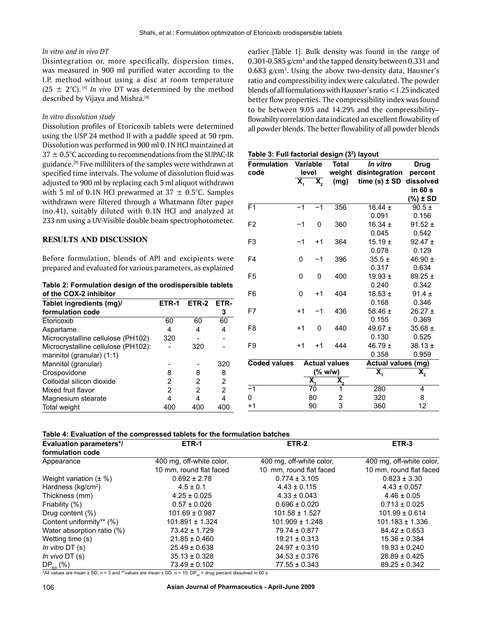## *In vitro and in vivo DT*

Disintegration or, more specifically, dispersion times, was measured in 900 ml purified water according to the I.P. method without using a disc at room temperature  $(25 \pm 2^{\circ}C)$ . <sup>[4]</sup> *In vivo* DT was determined by the method described by Vijaya and Mishra.<sup>[4]</sup>

## *In vitro dissolution study*

Dissolution profiles of Etoricoxib tablets were determined using the USP 24 method II with a paddle speed at 50 rpm. Dissolution was performed in 900 ml 0.1N HCl maintained at  $37 \pm 0.5^{\circ}$ C according to recommendations from the SUPAC-IR guidance.[9] Five milliliters of the samples were withdrawn at specified time intervals. The volume of dissolution fluid was adjusted to 900 ml by replacing each 5 ml aliquot withdrawn with 5 ml of 0.1N HCl prewarmed at  $37 \pm 0.5^{\circ}$ C. Samples withdrawn were filtered through a Whatmann filter paper (no.41), suitably diluted with 0.1N HCl and analyzed at 233 nm using a UV-Visible double beam spectrophotometer.

## **RESULTS AND DISCUSSION**

Before formulation, blends of API and excipients were prepared and evaluated for various parameters, as explained

**Table 2: Formulation design of the orodispersible tablets of the COX-2 inhibitor**

| Tablet ingredients (mg)/            | ETR-1 | ETR-2 | ETR-           |
|-------------------------------------|-------|-------|----------------|
| formulation code                    |       |       | 3              |
| Etoricoxib                          | 60    | 60    | 60             |
| Aspartame                           | 4     | 4     | 4              |
| Microcrystalline cellulose (PH102)  | 320   |       |                |
| Microcrystalline cellulose (PH102): |       | 320   |                |
| mannitol (granular) $(1:1)$         |       |       |                |
| Mannitol (granular)                 |       |       | 320            |
| Crospovidone                        | 8     | 8     | 8              |
| Colloidal silicon dioxide           | 2     | 2     | $\overline{2}$ |
| Mixed fruit flavor                  | 2     | 2     | 2              |
| Magnesium stearate                  | 4     | 4     | 4              |
| <b>Total weight</b>                 | 40O   | 400   | 400            |

earlier [Table 1]. Bulk density was found in the range of 0.301-0.585  $\rm g/cm^3$  and the tapped density between 0.331 and  $0.683$  g/cm<sup>3</sup>. Using the above two-density data, Hausner's ratio and compressibility index were calculated. The powder blends of all formulations with Hausner's ratio <1.25 indicated better flow properties. The compressibility index was found to be between 9.05 and 14.29% and the compressibility– flowabilty correlation data indicated an excellent flowability of all powder blends. The better flowability of all powder blends

**Table 3: Full factorial design (32 ) layout**

| <b>Formulation</b>  | <b>Variable</b><br>level  |                           | <b>Total</b>           | In vitro                            | <b>Drug</b>          |  |
|---------------------|---------------------------|---------------------------|------------------------|-------------------------------------|----------------------|--|
| code                | $\overline{\mathbf{X}}_1$ |                           | weight<br>(mg)         | disintegration<br>time $(s) \pm SD$ | percent<br>dissolved |  |
|                     |                           | $\bar{\mathbf{X}}_{2}$    |                        |                                     | in 60 s              |  |
|                     |                           |                           |                        |                                     | $(\%) \pm SD$        |  |
| F <sub>1</sub>      | $-1$                      | $-1$                      | 356                    | $18.44 \pm$                         | $90.5 \pm$           |  |
|                     |                           |                           |                        | 0.091                               | 0.156                |  |
| F <sub>2</sub>      | -1                        | 0                         | 360                    | 16.34 $\pm$                         | $91.52 \pm$          |  |
|                     |                           |                           |                        | 0.045                               | 0.542                |  |
| F <sub>3</sub>      | $-1$                      | $+1$                      | 364                    | $15.19 \pm$                         | $92.47 \pm$          |  |
|                     |                           |                           |                        | 0.078                               | 0.129                |  |
| F <sub>4</sub>      | 0                         | $-1$                      | 396                    | $35.5 \pm$                          | 46.90 $\pm$          |  |
|                     |                           |                           |                        | 0.317                               | 0.634                |  |
| F <sub>5</sub>      | 0                         | 0                         | 400                    | 19.93 $\pm$                         | $89.25 \pm$          |  |
|                     |                           |                           |                        | 0.240                               | 0.342                |  |
| F <sub>6</sub>      | 0                         | $+1$                      | 404                    | $18.53 \pm$                         | $91.4 \pm$           |  |
|                     |                           |                           |                        | 0.168                               | 0.346                |  |
| F7                  | $+1$                      | $-1$                      | 436                    | 58.46 $\pm$                         | $26.27 \pm$          |  |
|                     |                           |                           |                        | 0.155                               | 0.369                |  |
| F <sub>8</sub>      | $+1$                      | 0                         | 440                    | 49.67 $\pm$                         | $35.68 \pm$          |  |
|                     |                           |                           |                        | 0.130                               | 0.525                |  |
| F <sub>9</sub>      | $+1$                      | $+1$                      | 444                    | 46.79 $\pm$                         | $38.13 \pm$          |  |
|                     |                           |                           |                        | 0.358                               | 0.959                |  |
| <b>Coded values</b> |                           |                           | <b>Actual values</b>   | <b>Actual values (mg)</b>           |                      |  |
|                     |                           |                           | (% w/w)                | $\overline{\mathbf{X}}_1$           | $\mathbf{\bar{X}}_2$ |  |
|                     |                           | $\overline{\mathbf{X}}_1$ | $\bar{\mathbf{X}}_{2}$ |                                     |                      |  |
| $-1$                |                           | 70                        | 1                      | 280                                 | 4                    |  |
| 0                   |                           | 80                        | 2<br>3                 | 320                                 | 8                    |  |
| $+1$                |                           | 90                        |                        | 360                                 | 12                   |  |

#### **Table 4: Evaluation of the compressed tablets for the formulation batches**

| <b>Evaluation parameters*/</b> | ETR-1                    | ETR-2                    | ETR-3                    |
|--------------------------------|--------------------------|--------------------------|--------------------------|
| formulation code               |                          |                          |                          |
| Appearance                     | 400 mg, off-white color, | 400 mg, off-white color, | 400 mg, off-white color, |
|                                | 10 mm, round flat faced  | 10 mm, round flat faced  | 10 mm, round flat faced  |
| Weight variation $(\pm \%)$    | $0.692 \pm 2.78$         | $0.774 \pm 3.105$        | $0.823 \pm 3.30$         |
| Hardness ( $kg/cm2$ )          | $4.5 \pm 0.1$            | $4.43 \pm 0.115$         | $4.43 \pm 0.057$         |
| Thickness (mm)                 | $4.25 \pm 0.025$         | $4.33 \pm 0.043$         | $4.46 \pm 0.05$          |
| Friability (%)                 | $0.57 \pm 0.026$         | $0.696 \pm 0.020$        | $0.713 \pm 0.025$        |
| Drug content (%)               | $101.69 \pm 0.987$       | $101.58 \pm 1.527$       | $101.99 \pm 0.614$       |
| Content uniformity** (%)       | $101.891 \pm 1.324$      | $101.909 \pm 1.248$      | $101.183 \pm 1.336$      |
| Water absorption ratio (%)     | $73.42 \pm 1.729$        | $79.74 \pm 0.877$        | $84.42 \pm 0.653$        |
| Wetting time (s)               | $21.85 \pm 0.460$        | $19.21 \pm 0.313$        | $15.36 \pm 0.384$        |
| In vitro $DT(s)$               | $25.49 \pm 0.638$        | $24.97 \pm 0.310$        | $19.93 \pm 0.240$        |
| In vivo $DT(s)$                | $35.13 \pm 0.328$        | $34.53 \pm 0.376$        | $28.89 \pm 0.425$        |
| $DP_{60}$ (%)                  | $73.49 \pm 0.102$        | $77.55 \pm 0.343$        | $89.25 \pm 0.342$        |

\*All values are mean  $\pm$  SD,  $n = 3$  and \*\*values are mean  $\pm$  SD,  $n = 10$ ; DP<sub>60</sub> = drug percent dissolved in 60 s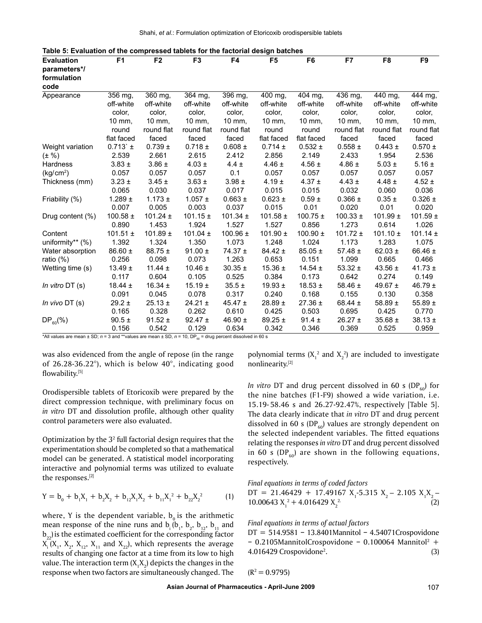| <b>Evaluation</b>     | F <sub>1</sub> | F <sub>2</sub>       | F <sub>3</sub>       | F4           | F <sub>5</sub> | F <sub>6</sub>       | F7           | F <sub>8</sub>       | F <sub>9</sub> |
|-----------------------|----------------|----------------------|----------------------|--------------|----------------|----------------------|--------------|----------------------|----------------|
| parameters*/          |                |                      |                      |              |                |                      |              |                      |                |
| formulation           |                |                      |                      |              |                |                      |              |                      |                |
| code                  |                |                      |                      |              |                |                      |              |                      |                |
| Appearance            | 356 mg,        | $\overline{360}$ mg, | $\overline{3}64$ mg, | 396 mg,      | 400 mg,        | $\overline{404}$ mg, | 436 mg,      | $\overline{440}$ mg, | 444 mg,        |
|                       | off-white      | off-white            | off-white            | off-white    | off-white      | off-white            | off-white    | off-white            | off-white      |
|                       | color,         | color,               | color,               | color,       | color,         | color,               | color,       | color,               | color,         |
|                       | 10 mm,         | 10 mm,               | 10 mm,               | 10 mm,       | 10 mm,         | 10 mm,               | 10 mm,       | 10 mm,               | 10 mm,         |
|                       | round          | round flat           | round flat           | round flat   | round          | round                | round flat   | round flat           | round flat     |
|                       | flat faced     | faced                | faced                | faced        | flat faced     | flat faced           | faced        | faced                | faced          |
| Weight variation      | $0.713$ $\pm$  | $0.739 \pm$          | $0.718 \pm$          | $0.608 \pm$  | $0.714 \pm$    | $0.532 \pm$          | $0.558 \pm$  | $0.443 \pm$          | $0.570 \pm$    |
| $(\pm \frac{9}{6})$   | 2.539          | 2.661                | 2.615                | 2.412        | 2.856          | 2.149                | 2.433        | 1.954                | 2.536          |
| Hardness              | $3.83 \pm$     | $3.86 \pm$           | $4.03 \pm$           | $4.4 \pm$    | 4.46 $\pm$     | $4.56 \pm$           | 4.86 $\pm$   | $5.03 \pm$           | $5.16 \pm$     |
| (kg/cm <sup>2</sup> ) | 0.057          | 0.057                | 0.057                | 0.1          | 0.057          | 0.057                | 0.057        | 0.057                | 0.057          |
| Thickness (mm)        | $3.23 \pm$     | $3.45 \pm$           | $3.63 \pm$           | $3.98 \pm$   | $4.19 \pm$     | $4.37 \pm$           | $4.43 \pm$   | $4.48 \pm$           | $4.52 \pm$     |
|                       | 0.065          | 0.030                | 0.037                | 0.017        | 0.015          | 0.015                | 0.032        | 0.060                | 0.036          |
| Friability (%)        | $1.289 \pm$    | $1.173 \pm$          | 1.057 $\pm$          | $0.663 \pm$  | $0.623 \pm$    | $0.59 \pm$           | $0.366 \pm$  | $0.35 \pm$           | $0.326 \pm$    |
|                       | 0.007          | 0.005                | 0.003                | 0.037        | 0.015          | 0.01                 | 0.020        | 0.01                 | 0.020          |
| Drug content $(\%)$   | 100.58 $\pm$   | $101.24 \pm$         | $101.15 \pm$         | 101.34 $\pm$ | 101.58 $\pm$   | 100.75 $\pm$         | $100.33 \pm$ | $101.99 \pm$         | 101.59 $\pm$   |
|                       | 0.890          | 1.453                | 1.924                | 1.527        | 1.527          | 0.856                | 1.273        | 0.614                | 1.026          |
| Content               | 101.51 $\pm$   | 101.89 $\pm$         | 101.04 $\pm$         | 100.96 $\pm$ | 101.90 $\pm$   | 100.90 $\pm$         | 101.72 $\pm$ | 101.10 $\pm$         | 101.14 $\pm$   |
| uniformity** (%)      | 1.392          | 1.324                | 1.350                | 1.073        | 1.248          | 1.024                | 1.173        | 1.283                | 1.075          |
| Water absorption      | $86.60 \pm$    | $88.75 \pm$          | 91.00 $\pm$          | $74.37 \pm$  | $84.42 \pm$    | $85.05 \pm$          | 57.48 $\pm$  | 62.03 $\pm$          | 66.46 ±        |
| ratio $(\%)$          | 0.256          | 0.098                | 0.073                | 1.263        | 0.653          | 0.151                | 1.099        | 0.665                | 0.466          |
| Wetting time (s)      | 13.49 $\pm$    | 11.44 $\pm$          | $10.46 \pm$          | $30.35 \pm$  | 15.36 $\pm$    | $14.54 \pm$          | 53.32 $\pm$  | 43.56 $\pm$          | $41.73 \pm$    |
|                       | 0.117          | 0.604                | 0.105                | 0.525        | 0.384          | 0.173                | 0.642        | 0.274                | 0.149          |
| In vitro $DT(s)$      | 18.44 $\pm$    | 16.34 $\pm$          | 15.19 $\pm$          | $35.5 \pm$   | 19.93 $\pm$    | $18.53 \pm$          | 58.46 $\pm$  | 49.67 $\pm$          | 46.79 $\pm$    |
|                       | 0.091          | 0.045                | 0.078                | 0.317        | 0.240          | 0.168                | 0.155        | 0.130                | 0.358          |
| In vivo $DT(s)$       | $29.2 \pm$     | $25.13 \pm$          | $24.21 \pm$          | 45.47 $\pm$  | 28.89 $\pm$    | $27.36 \pm$          | 68.44 $\pm$  | 58.89 $\pm$          | 55.89 $\pm$    |
|                       | 0.165          | 0.328                | 0.262                | 0.610        | 0.425          | 0.503                | 0.695        | 0.425                | 0.770          |
| $DP_{60}(\%)$         | $90.5 \pm$     | $91.52 \pm$          | $92.47 \pm$          | 46.90 $\pm$  | $89.25 \pm$    | $91.4 \pm$           | $26.27 \pm$  | $35.68 \pm$          | $38.13 \pm$    |
|                       | 0.156          | 0.542                | 0.129                | 0.634        | 0.342          | 0.346                | 0.369        | 0.525                | 0.959          |

\*All values are mean  $\pm$  SD;  $n = 3$  and \*\*values are mean  $\pm$  SD,  $n = 10$ , DP<sub>60</sub> = drug percent dissolved in 60 s

was also evidenced from the angle of repose (in the range of 26.28-36.22°), which is below 40°, indicating good flowability.[5]

Orodispersible tablets of Etoricoxib were prepared by the direct compression technique, with preliminary focus on *in vitro* DT and dissolution profile, although other quality control parameters were also evaluated.

Optimization by the  $3<sup>2</sup>$  full factorial design requires that the experimentation should be completed so that a mathematical model can be generated. A statistical model incorporating interactive and polynomial terms was utilized to evaluate the responses.[2]

$$
Y = b_0 + b_1 X_1 + b_2 X_2 + b_{12} X_1 X_2 + b_{11} X_1^2 + b_{22} X_2^2
$$
 (1)

where, Y is the dependent variable,  $b_0$  is the arithmetic mean response of the nine runs and  $b_i$  ( $b_1$ ,  $b_2$ ,  $b_{12}$ ,  $b_{11}$  and  $b_{22}$ ) is the estimated coefficient for the corresponding factor  $X_i$  ( $X_1$ ,  $X_2$ ,  $X_{12}$ ,  $X_{11}$  and  $X_{22}$ ), which represents the average results of changing one factor at a time from its low to high value. The interaction term (X $_1$ X $_2$ ) depicts the changes in the response when two factors are simultaneously changed. The

polynomial terms  $(X_1^2$  and  $X_2^2)$  are included to investigate nonlinearity.[2]

*In vitro* DT and drug percent dissolved in 60 s (DP $_{60}$ ) for the nine batches (F1-F9) showed a wide variation, i.e. 15.19- 58.46 s and 26.27-92.47%, respectively [Table 5]. The data clearly indicate that *in vitro* DT and drug percent dissolved in 60 s (DP $_{60}$ ) values are strongly dependent on the selected independent variables. The fitted equations relating the responses *in vitro* DT and drug percent dissolved in 60 s (DP $_{60}$ ) are shown in the following equations, respectively.

*Final equations in terms of coded factors*

DT = 21.46429 + 17.49167 X1 -5.315 X2 – 2.105 X1 X2 – 10.00643 X1 <sup>2</sup> + 4.016429 X2 2. (2)

*Final equations in terms of actual factors*

DT = 514.9581 − 13.8401Mannitol − 4.54071Crospovidone − 0.2105MannitolCrospovidone − 0.100064 Mannitol2 + 4.016429 Crospovidone<sup>2</sup>.  $\qquad \qquad \qquad (3)$ 

$$
(R^2 = 0.9795)
$$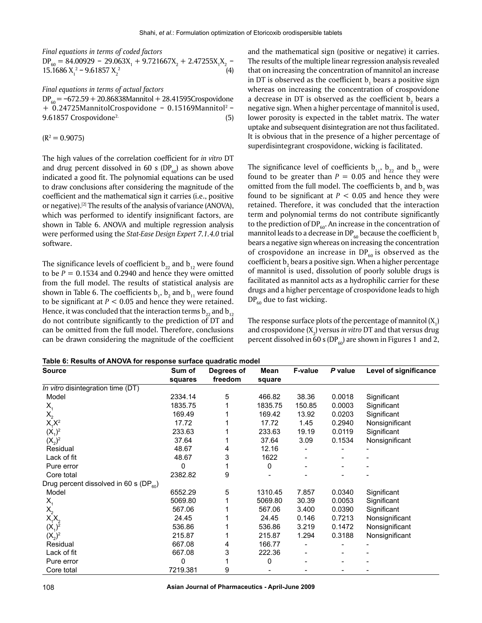*Final equations in terms of coded factors*

 $DP_{60} = 84.00929 - 29.063X_1 + 9.721667X_2 + 2.47255X_1X_2 -$ 15.1686  $X_1^2$  – 9.61857  $X_2$  $2 \tag{4}$ 

*Final equations in terms of actual factors*  $DP_{60} = -672.59 + 20.86838$ Mannitol + 28.41595Crospovidone + 0.24725MannitolCrospovidone − 0.15169Mannitol2 − 9.61857 Crospovidone<sup>2.</sup> (5)

 $(R^2 = 0.9075)$ 

The high values of the correlation coefficient for *in vitro* DT and drug percent dissolved in 60 s (DP $_{60}$ ) as shown above indicated a good fit. The polynomial equations can be used to draw conclusions after considering the magnitude of the coefficient and the mathematical sign it carries (i.e., positive or negative).[2] The results of the analysis of variance (ANOVA), which was performed to identify insignificant factors, are shown in Table 6. ANOVA and multiple regression analysis were performed using the *Stat-Ease Design Expert 7.1.4.0* trial software.

The significance levels of coefficient  $b_{22}$  and  $b_{12}$  were found to be  $P = 0.1534$  and 0.2940 and hence they were omitted from the full model. The results of statistical analysis are shown in Table 6. The coefficients  $\mathsf{b}_1$ ,  $\mathsf{b}_2$  and  $\mathsf{b}_{11}$  were found to be significant at  $P < 0.05$  and hence they were retained. Hence, it was concluded that the interaction terms  $b_{22}$  and  $b_{12}$ do not contribute significantly to the prediction of DT and can be omitted from the full model. Therefore, conclusions can be drawn considering the magnitude of the coefficient

and the mathematical sign (positive or negative) it carries. The results of the multiple linear regression analysis revealed that on increasing the concentration of mannitol an increase in DT is observed as the coefficient  $\mathsf{b}_1$  bears a positive sign whereas on increasing the concentration of crospovidone a decrease in DT is observed as the coefficient  $\mathsf{b}_\mathsf{2}$  bears a negative sign. When a higher percentage of mannitol is used, lower porosity is expected in the tablet matrix. The water uptake and subsequent disintegration are not thus facilitated. It is obvious that in the presence of a higher percentage of superdisintegrant crospovidone, wicking is facilitated.

The significance level of coefficients  $b_{11}$ ,  $b_{22}$  and  $b_{12}$  were found to be greater than  $P = 0.05$  and hence they were omitted from the full model. The coefficients  $\mathbf{b}_1$  and  $\mathbf{b}_2$  was found to be significant at  $P < 0.05$  and hence they were retained. Therefore, it was concluded that the interaction term and polynomial terms do not contribute significantly to the prediction of  $DP_{60}$ . An increase in the concentration of mannitol leads to a decrease in DP<sub>60</sub> because the coefficient b<sub>1</sub> bears a negative sign whereas on increasing the concentration of crospovidone an increase in  $DP_{60}$  is observed as the coefficient  $\bm{{\mathsf{b}}}_{_2}$  bears a positive sign. When a higher percentage of mannitol is used, dissolution of poorly soluble drugs is facilitated as mannitol acts as a hydrophilic carrier for these drugs and a higher percentage of crospovidone leads to high  $DP<sub>60</sub>$  due to fast wicking.

The response surface plots of the percentage of mannitol  $(X_{1})$ and crospovidone  $(X_2)$  versus *in vitro* DT and that versus drug percent dissolved in  $\overline{60}$  s (DP<sub>60</sub>) are shown in Figures 1 and 2,

**Table 6: Results of ANOVA for response surface quadratic model**

| <b>Source</b>                                | Sum of   | Degrees of | Mean    | <b>F-value</b> | P value | Level of significance |
|----------------------------------------------|----------|------------|---------|----------------|---------|-----------------------|
|                                              | squares  | freedom    | square  |                |         |                       |
| In vitro disintegration time (DT)            |          |            |         |                |         |                       |
| Model                                        | 2334.14  | 5          | 466.82  | 38.36          | 0.0018  | Significant           |
| $X_1$                                        | 1835.75  |            | 1835.75 | 150.85         | 0.0003  | Significant           |
| $X_{2}$                                      | 169.49   |            | 169.42  | 13.92          | 0.0203  | Significant           |
| $X_1^T X^2$                                  | 17.72    |            | 17.72   | 1.45           | 0.2940  | Nonsignificant        |
| $(X_1)^2$                                    | 233.63   |            | 233.63  | 19.19          | 0.0119  | Significant           |
| $(X_2)^2$                                    | 37.64    |            | 37.64   | 3.09           | 0.1534  | Nonsignificant        |
| Residual                                     | 48.67    | 4          | 12.16   |                |         |                       |
| Lack of fit                                  | 48.67    | 3          | 1622    |                |         |                       |
| Pure error                                   | 0        |            | 0       |                |         |                       |
| Core total                                   | 2382.82  | 9          |         |                |         |                       |
| Drug percent dissolved in 60 s (DP $_{60}$ ) |          |            |         |                |         |                       |
| Model                                        | 6552.29  | 5          | 1310.45 | 7.857          | 0.0340  | Significant           |
| $X_{1}$                                      | 5069.80  |            | 5069.80 | 30.39          | 0.0053  | Significant           |
| $X_{2}$                                      | 567.06   |            | 567.06  | 3.400          | 0.0390  | Significant           |
| $X_1^TX_2$                                   | 24.45    |            | 24.45   | 0.146          | 0.7213  | Nonsignificant        |
| $(X_1)^2$                                    | 536.86   |            | 536.86  | 3.219          | 0.1472  | Nonsignificant        |
| $(X_2)^2$                                    | 215.87   |            | 215.87  | 1.294          | 0.3188  | Nonsignificant        |
| Residual                                     | 667.08   | 4          | 166.77  |                |         |                       |
| Lack of fit                                  | 667.08   | 3          | 222.36  |                |         |                       |
| Pure error                                   | 0        |            | 0       |                |         |                       |
| Core total                                   | 7219.381 | 9          |         |                |         |                       |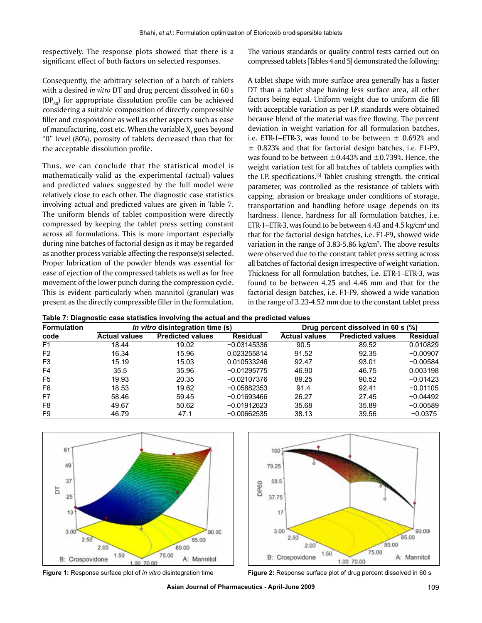respectively. The response plots showed that there is a significant effect of both factors on selected responses.

Consequently, the arbitrary selection of a batch of tablets with a desired *in vitro* DT and drug percent dissolved in 60 s  $(DP<sub>co</sub>)$  for appropriate dissolution profile can be achieved considering a suitable composition of directly compressible filler and crospovidone as well as other aspects such as ease of manufacturing, cost etc. When the variable  $X_1$  goes beyond "0" level (80%), porosity of tablets decreased than that for the acceptable dissolution profile.

Thus, we can conclude that the statistical model is mathematically valid as the experimental (actual) values and predicted values suggested by the full model were relatively close to each other. The diagnostic case statistics involving actual and predicted values are given in Table 7. The uniform blends of tablet composition were directly compressed by keeping the tablet press setting constant across all formulations. This is more important especially during nine batches of factorial design as it may be regarded as another process variable affecting the response(s) selected. Proper lubrication of the powder blends was essential for ease of ejection of the compressed tablets as well as for free movement of the lower punch during the compression cycle. This is evident particularly when mannitol (granular) was present as the directly compressible filler in the formulation. The various standards or quality control tests carried out on compressed tablets [Tables 4 and 5] demonstrated the following:

A tablet shape with more surface area generally has a faster DT than a tablet shape having less surface area, all other factors being equal. Uniform weight due to uniform die fill with acceptable variation as per I.P. standards were obtained because blend of the material was free flowing. The percent deviation in weight variation for all formulation batches, i.e. ETR-1–ETR-3, was found to be between  $\pm$  0.692% and  $\pm$  0.823% and that for factorial design batches, i.e. F1-F9, was found to be between  $\pm 0.443$ % and  $\pm 0.739$ %. Hence, the weight variation test for all batches of tablets complies with the I.P. specifications.[6] Tablet crushing strength, the critical parameter, was controlled as the resistance of tablets with capping, abrasion or breakage under conditions of storage, transportation and handling before usage depends on its hardness. Hence, hardness for all formulation batches, i.e. ETR-1–ETR-3, was found to be between 4.43 and 4.5 kg/cm $^2$  and that for the factorial design batches, i.e. F1-F9, showed wide variation in the range of  $3.83$ -5.86 kg/cm<sup>2</sup>. The above results were observed due to the constant tablet press setting across all batches of factorial design irrespective of weight variation. Thickness for all formulation batches, i.e. ETR-1–ETR-3, was found to be between 4.25 and 4.46 mm and that for the factorial design batches, i.e. F1-F9, showed a wide variation in the range of 3.23-4.52 mm due to the constant tablet press

**Table 7: Diagnostic case statistics involving the actual and the predicted values**

| <b>Formulation</b><br>code |                      | <i>In vitro</i> disintegration time (s) |                 | Drug percent dissolved in 60 s (%) |                         |                 |  |
|----------------------------|----------------------|-----------------------------------------|-----------------|------------------------------------|-------------------------|-----------------|--|
|                            | <b>Actual values</b> | <b>Predicted values</b>                 | <b>Residual</b> | <b>Actual values</b>               | <b>Predicted values</b> | <b>Residual</b> |  |
| F <sub>1</sub>             | 18.44                | 19.02                                   | $-0.03145336$   | 90.5                               | 89.52                   | 0.010829        |  |
| F <sub>2</sub>             | 16.34                | 15.96                                   | 0.023255814     | 91.52                              | 92.35                   | $-0.00907$      |  |
| F <sub>3</sub>             | 15.19                | 15.03                                   | 0.010533246     | 92.47                              | 93.01                   | $-0.00584$      |  |
| F4                         | 35.5                 | 35.96                                   | $-0.01295775$   | 46.90                              | 46.75                   | 0.003198        |  |
| F <sub>5</sub>             | 19.93                | 20.35                                   | $-0.02107376$   | 89.25                              | 90.52                   | $-0.01423$      |  |
| F <sub>6</sub>             | 18.53                | 19.62                                   | $-0.05882353$   | 91.4                               | 92.41                   | $-0.01105$      |  |
| F7                         | 58.46                | 59.45                                   | $-0.01693466$   | 26.27                              | 27.45                   | $-0.04492$      |  |
| F <sub>8</sub>             | 49.67                | 50.62                                   | $-0.01912623$   | 35.68                              | 35.89                   | $-0.00589$      |  |
| F <sub>9</sub>             | 46.79                | 47.1                                    | $-0.00662535$   | 38.13                              | 39.56                   | $-0.0375$       |  |



**Figure 1:** Response surface plot of *in vitro* disintegration time **Figure 2:** Response surface plot of drug percent dissolved in 60 s

**Asian Journal of Pharmaceutics - April-June 2009** 109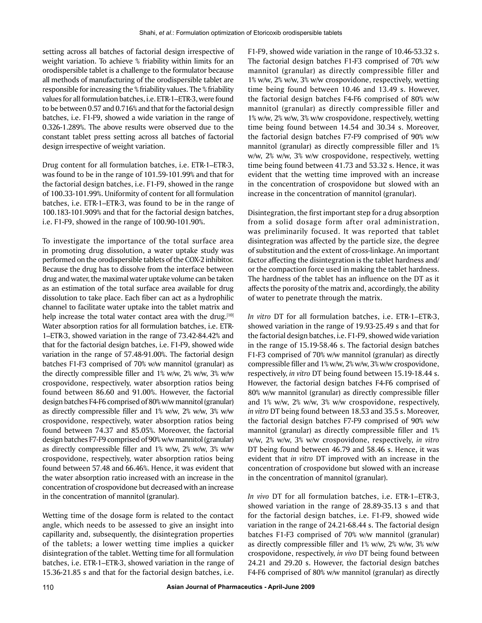setting across all batches of factorial design irrespective of weight variation. To achieve % friability within limits for an orodispersible tablet is a challenge to the formulator because all methods of manufacturing of the orodispersible tablet are responsible for increasing the % friability values. The % friability values for all formulation batches, i.e. ETR-1–ETR-3, were found to be between 0.57 and 0.716% and that for the factorial design batches, i.e. F1-F9, showed a wide variation in the range of 0.326-1.289%. The above results were observed due to the constant tablet press setting across all batches of factorial design irrespective of weight variation.

Drug content for all formulation batches, i.e. ETR-1–ETR-3, was found to be in the range of 101.59-101.99% and that for the factorial design batches, i.e. F1-F9, showed in the range of 100.33-101.99%. Uniformity of content for all formulation batches, i.e. ETR-1–ETR-3, was found to be in the range of 100.183-101.909% and that for the factorial design batches, i.e. F1-F9, showed in the range of 100.90-101.90%.

To investigate the importance of the total surface area in promoting drug dissolution, a water uptake study was performed on the orodispersible tablets of the COX-2 inhibitor. Because the drug has to dissolve from the interface between drug and water, the maximal water uptake volume can be taken as an estimation of the total surface area available for drug dissolution to take place. Each fiber can act as a hydrophilic channel to facilitate water uptake into the tablet matrix and help increase the total water contact area with the drug.<sup>[10]</sup> Water absorption ratios for all formulation batches, i.e. ETR-1–ETR-3, showed variation in the range of 73.42-84.42% and that for the factorial design batches, i.e. F1-F9, showed wide variation in the range of 57.48-91.00%. The factorial design batches F1-F3 comprised of 70% w/w mannitol (granular) as the directly compressible filler and 1% w/w, 2% w/w, 3% w/w crospovidone, respectively, water absorption ratios being found between 86.60 and 91.00%. However, the factorial design batches F4-F6 comprised of 80% w/w mannitol (granular) as directly compressible filler and 1% w/w, 2% w/w, 3% w/w crospovidone, respectively, water absorption ratios being found between 74.37 and 85.05%. Moreover, the factorial design batches F7-F9 comprised of 90% w/w mannitol (granular) as directly compressible filler and 1% w/w, 2% w/w, 3% w/w crospovidone, respectively, water absorption ratios being found between 57.48 and 66.46%. Hence, it was evident that the water absorption ratio increased with an increase in the concentration of crospovidone but decreased with an increase in the concentration of mannitol (granular).

Wetting time of the dosage form is related to the contact angle, which needs to be assessed to give an insight into capillarity and, subsequently, the disintegration properties of the tablets; a lower wetting time implies a quicker disintegration of the tablet. Wetting time for all formulation batches, i.e. ETR-1–ETR-3, showed variation in the range of 15.36-21.85 s and that for the factorial design batches, i.e.

F1-F9, showed wide variation in the range of 10.46-53.32 s. The factorial design batches F1-F3 comprised of 70% w/w mannitol (granular) as directly compressible filler and 1% w/w, 2% w/w, 3% w/w crospovidone, respectively, wetting time being found between 10.46 and 13.49 s. However, the factorial design batches F4-F6 comprised of 80% w/w mannitol (granular) as directly compressible filler and 1% w/w, 2% w/w, 3% w/w crospovidone, respectively, wetting time being found between 14.54 and 30.34 s. Moreover, the factorial design batches F7-F9 comprised of 90% w/w mannitol (granular) as directly compressible filler and 1% w/w, 2% w/w, 3% w/w crospovidone, respectively, wetting time being found between 41.73 and 53.32 s. Hence, it was evident that the wetting time improved with an increase in the concentration of crospovidone but slowed with an increase in the concentration of mannitol (granular).

Disintegration, the first important step for a drug absorption from a solid dosage form after oral administration, was preliminarily focused. It was reported that tablet disintegration was affected by the particle size, the degree of substitution and the extent of cross-linkage. An important factor affecting the disintegration is the tablet hardness and/ or the compaction force used in making the tablet hardness. The hardness of the tablet has an influence on the DT as it affects the porosity of the matrix and, accordingly, the ability of water to penetrate through the matrix.

*In vitro* DT for all formulation batches, i.e. ETR-1–ETR-3, showed variation in the range of 19.93-25.49 s and that for the factorial design batches, i.e. F1-F9, showed wide variation in the range of 15.19-58.46 s. The factorial design batches F1-F3 comprised of 70% w/w mannitol (granular) as directly compressible filler and 1% w/w, 2% w/w, 3% w/w crospovidone, respectively, *in vitro* DT being found between 15.19-18.44 s. However, the factorial design batches F4-F6 comprised of 80% w/w mannitol (granular) as directly compressible filler and 1% w/w, 2% w/w, 3% w/w crospovidone, respectively, *in vitro* DT being found between 18.53 and 35.5 s. Moreover, the factorial design batches F7-F9 comprised of 90% w/w mannitol (granular) as directly compressible filler and 1% w/w, 2% w/w, 3% w/w crospovidone, respectively, *in vitro* DT being found between 46.79 and 58.46 s. Hence, it was evident that *in vitro* DT improved with an increase in the concentration of crospovidone but slowed with an increase in the concentration of mannitol (granular).

*In vivo* DT for all formulation batches, i.e. ETR-1–ETR-3, showed variation in the range of 28.89-35.13 s and that for the factorial design batches, i.e. F1-F9, showed wide variation in the range of 24.21-68.44 s. The factorial design batches F1-F3 comprised of 70% w/w mannitol (granular) as directly compressible filler and 1% w/w, 2% w/w, 3% w/w crospovidone, respectively, *in vivo* DT being found between 24.21 and 29.20 s. However, the factorial design batches F4-F6 comprised of 80% w/w mannitol (granular) as directly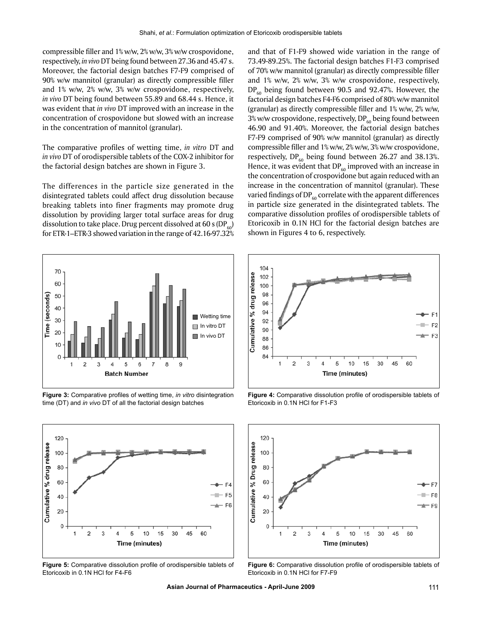compressible filler and 1% w/w, 2% w/w, 3% w/w crospovidone, respectively, *in vivo* DT being found between 27.36 and 45.47 s. Moreover, the factorial design batches F7-F9 comprised of 90% w/w mannitol (granular) as directly compressible filler and 1% w/w, 2% w/w, 3% w/w crospovidone, respectively, *in vivo* DT being found between 55.89 and 68.44 s. Hence, it was evident that *in vivo* DT improved with an increase in the concentration of crospovidone but slowed with an increase in the concentration of mannitol (granular).

The comparative profiles of wetting time, *in vitro* DT and *in vivo* DT of orodispersible tablets of the COX-2 inhibitor for the factorial design batches are shown in Figure 3.

The differences in the particle size generated in the disintegrated tablets could affect drug dissolution because breaking tablets into finer fragments may promote drug dissolution by providing larger total surface areas for drug dissolution to take place. Drug percent dissolved at 60 s (DP $_{60}$ ) for ETR-1–ETR-3 showed variation in the range of 42.16-97.32%



**Figure 3:** Comparative profiles of wetting time, *in vitro* disintegration time (DT) and *in vivo* DT of all the factorial design batches



**Figure 5:** Comparative dissolution profile of orodispersible tablets of Etoricoxib in 0.1N HCl for F4-F6

and that of F1-F9 showed wide variation in the range of 73.49-89.25%. The factorial design batches F1-F3 comprised of 70% w/w mannitol (granular) as directly compressible filler and 1% w/w, 2% w/w, 3% w/w crospovidone, respectively,  $DP<sub>60</sub>$  being found between 90.5 and 92.47%. However, the factorial design batches F4-F6 comprised of 80% w/w mannitol (granular) as directly compressible filler and 1% w/w, 2% w/w, 3% w/w crospovidone, respectively,  $DP_{60}$  being found between 46.90 and 91.40%. Moreover, the factorial design batches F7-F9 comprised of 90% w/w mannitol (granular) as directly compressible filler and 1% w/w, 2% w/w, 3% w/w crospovidone, respectively, DP<sub>60</sub> being found between 26.27 and 38.13%. Hence, it was evident that  $DP_{60}$  improved with an increase in the concentration of crospovidone but again reduced with an increase in the concentration of mannitol (granular). These varied findings of DP $_{60}$  correlate with the apparent differences in particle size generated in the disintegrated tablets. The comparative dissolution profiles of orodispersible tablets of Etoricoxib in 0.1N HCl for the factorial design batches are shown in Figures 4 to 6, respectively.



**Figure 4:** Comparative dissolution profile of orodispersible tablets of Etoricoxib in 0.1N HCl for F1-F3



**Figure 6:** Comparative dissolution profile of orodispersible tablets of Etoricoxib in 0.1N HCl for F7-F9